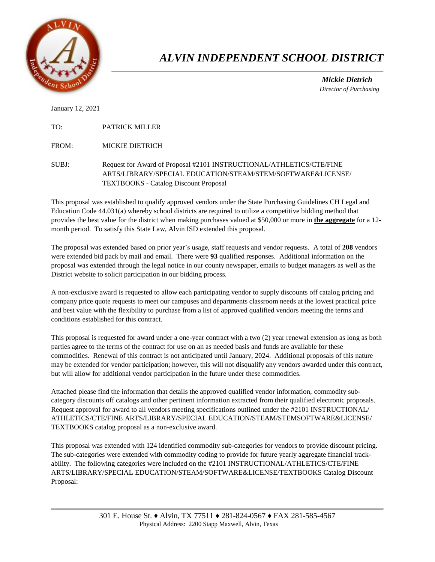

## *ALVIN INDEPENDENT SCHOOL DISTRICT*

 *Mickie Dietrich Director of Purchasing*

January 12, 2021

TO: PATRICK MILLER

FROM: MICKIE DIETRICH

SUBJ: Request for Award of Proposal #2101 INSTRUCTIONAL/ATHLETICS/CTE/FINE ARTS/LIBRARY/SPECIAL EDUCATION/STEAM/STEM/SOFTWARE&LICENSE/ TEXTBOOKS - Catalog Discount Proposal

This proposal was established to qualify approved vendors under the State Purchasing Guidelines CH Legal and Education Code 44.031(a) whereby school districts are required to utilize a competitive bidding method that provides the best value for the district when making purchases valued at \$50,000 or more in **the aggregate** for a 12 month period. To satisfy this State Law, Alvin ISD extended this proposal.

The proposal was extended based on prior year's usage, staff requests and vendor requests. A total of **208** vendors were extended bid pack by mail and email. There were **93** qualified responses. Additional information on the proposal was extended through the legal notice in our county newspaper, emails to budget managers as well as the District website to solicit participation in our bidding process.

A non-exclusive award is requested to allow each participating vendor to supply discounts off catalog pricing and company price quote requests to meet our campuses and departments classroom needs at the lowest practical price and best value with the flexibility to purchase from a list of approved qualified vendors meeting the terms and conditions established for this contract.

This proposal is requested for award under a one-year contract with a two (2) year renewal extension as long as both parties agree to the terms of the contract for use on an as needed basis and funds are available for these commodities. Renewal of this contract is not anticipated until January, 2024. Additional proposals of this nature may be extended for vendor participation; however, this will not disqualify any vendors awarded under this contract, but will allow for additional vendor participation in the future under these commodities.

Attached please find the information that details the approved qualified vendor information, commodity subcategory discounts off catalogs and other pertinent information extracted from their qualified electronic proposals. Request approval for award to all vendors meeting specifications outlined under the #2101 INSTRUCTIONAL/ ATHLETICS/CTE/FINE ARTS/LIBRARY/SPECIAL EDUCATION/STEAM/STEMSOFTWARE&LICENSE/ TEXTBOOKS catalog proposal as a non-exclusive award.

This proposal was extended with 124 identified commodity sub-categories for vendors to provide discount pricing. The sub-categories were extended with commodity coding to provide for future yearly aggregate financial trackability. The following categories were included on the #2101 INSTRUCTIONAL/ATHLETICS/CTE/FINE ARTS/LIBRARY/SPECIAL EDUCATION/STEAM/SOFTWARE&LICENSE/TEXTBOOKS Catalog Discount Proposal: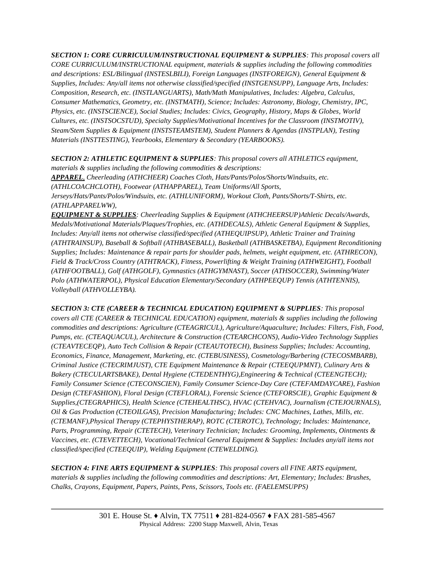*SECTION 1: CORE CURRICULUM/INSTRUCTIONAL EQUIPMENT & SUPPLIES: This proposal covers all CORE CURRICULUM/INSTRUCTIONAL equipment, materials & supplies including the following commodities and descriptions: ESL/Bilingual (INSTESLBILI), Foreign Languages (INSTFOREIGN), General Equipment & Supplies, Includes: Any/all items not otherwise classified/specified (INSTGENSUPP), Language Arts, Includes: Composition, Research, etc. (INSTLANGUARTS), Math/Math Manipulatives, Includes: Algebra, Calculus, Consumer Mathematics, Geometry, etc. (INSTMATH), Science; Includes: Astronomy, Biology, Chemistry, IPC, Physics, etc. (INSTSCIENCE), Social Studies; Includes: Civics, Geography, History, Maps & Globes, World Cultures, etc. (INSTSOCSTUD), Specialty Supplies/Motivational Incentives for the Classroom (INSTMOTIV), Steam/Stem Supplies & Equipment (INSTSTEAMSTEM), Student Planners & Agendas (INSTPLAN), Testing Materials (INSTTESTING), Yearbooks, Elementary & Secondary (YEARBOOKS).* 

*SECTION 2: ATHLETIC EQUIPMENT & SUPPLIES: This proposal covers all ATHLETICS equipment,* 

*materials & supplies including the following commodities & descriptions: APPAREL, Cheerleading (ATHCHEER) Coaches Cloth, Hats/Pants/Polos/Shorts/Windsuits, etc. (ATHLCOACHCLOTH), Footwear (ATHAPPAREL), Team Uniforms/All Sports, Jerseys/Hats/Pants/Polos/Windsuits, etc. (ATHLUNIFORM), Workout Cloth, Pants/Shorts/T-Shirts, etc. (ATHLAPPARELWW),* 

*EQUIPMENT & SUPPLIES: Cheerleading Supplies & Equipment (ATHCHEERSUP)Athletic Decals/Awards, Medals/Motivational Materials/Plaques/Trophies, etc. (ATHDECALS), Athletic General Equipment & Supplies, Includes: Any/all items not otherwise classified/specified (ATHEQUIPSUP), Athletic Trainer and Training (ATHTRAINSUP), Baseball & Softball (ATHBASEBALL), Basketball (ATHBASKETBA), Equipment Reconditioning Supplies; Includes: Maintenance & repair parts for shoulder pads, helmets, weight equipment, etc. (ATHRECON), Field & Track/Cross Country (ATHTRACK), Fitness, Powerlifting & Weight Training (ATHWEIGHT), Football (ATHFOOTBALL), Golf (ATHGOLF), Gymnastics (ATHGYMNAST), Soccer (ATHSOCCER), Swimming/Water Polo (ATHWATERPOL), Physical Education Elementary/Secondary (ATHPEEQUP) Tennis (ATHTENNIS), Volleyball (ATHVOLLEYBA).* 

*SECTION 3: CTE (CAREER & TECHNICAL EDUCATION) EQUIPMENT & SUPPLIES: This proposal covers all CTE (CAREER & TECHNICAL EDUCATION) equipment, materials & supplies including the following commodities and descriptions: Agriculture (CTEAGRICUL), Agriculture/Aquaculture; Includes: Filters, Fish, Food, Pumps, etc. (CTEAQUACUL), Architecture & Construction (CTEARCHCONS), Audio-Video Technology Supplies (CTEAVTECEQP), Auto Tech Collision & Repair (CTEAUTOTECH), Business Supplies; Includes: Accounting, Economics, Finance, Management, Marketing, etc. (CTEBUSINESS), Cosmetology/Barbering (CTECOSMBARB), Criminal Justice (CTECRIMJUST), CTE Equipment Maintenance & Repair (CTEEQUPMNT), Culinary Arts & Bakery (CTECULARTSBAKE), Dental Hygiene (CTEDENTHYG),Engineering & Technical (CTEENGTECH); Family Consumer Science (CTECONSCIEN), Family Consumer Science-Day Care (CTEFAMDAYCARE), Fashion Design (CTEFASHION), Floral Design (CTEFLORAL), Forensic Science (CTEFORSCIE), Graphic Equipment & Supplies,(CTEGRAPHICS), Health Science (CTEHEALTHSC), HVAC (CTEHVAC), Journalism (CTEJOURNALS), Oil & Gas Production (CTEOILGAS), Precision Manufacturing; Includes: CNC Machines, Lathes, Mills, etc. (CTEMANF),Physical Therapy (CTEPHYSTHERAP), ROTC (CTEROTC), Technology; Includes: Maintenance, Parts, Programming, Repair (CTETECH), Veterinary Technician; Includes: Grooming, Implements, Ointments & Vaccines, etc. (CTEVETTECH), Vocational/Technical General Equipment & Supplies: Includes any/all items not classified/specified (CTEEQUIP), Welding Equipment (CTEWELDING).*

*SECTION 4: FINE ARTS EQUIPMENT & SUPPLIES: This proposal covers all FINE ARTS equipment, materials & supplies including the following commodities and descriptions: Art, Elementary; Includes: Brushes, Chalks, Crayons, Equipment, Papers, Paints, Pens, Scissors, Tools etc. (FAELEMSUPPS)*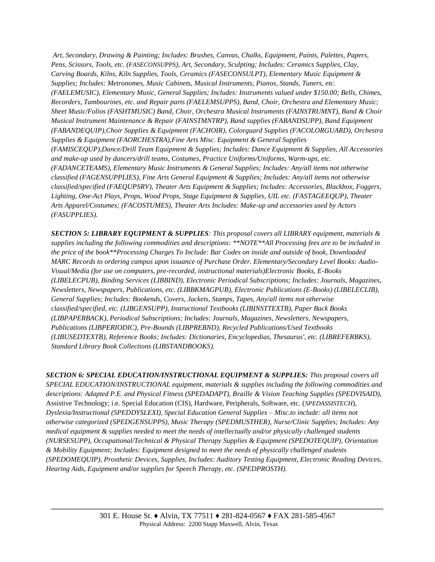*Art, Secondary, Drawing & Painting; Includes: Brushes, Canvas, Chalks, Equipment, Paints, Palettes, Papers, Pens, Scissors, Tools, etc. (FASECONSUPPS), Art, Secondary, Sculpting; Includes: Ceramics Supplies, Clay, Carving Boards, Kilns, Kiln Supplies, Tools, Ceramics (FASECONSULPT), Elementary Music Equipment & Supplies; Includes: Metronomes, Music Cabinets, Musical Instruments, Pianos, Stands, Tuners, etc. (FAELEMUSIC), Elementary Music, General Supplies; Includes: Instruments valued under \$150.00; Bells, Chimes, Recorders, Tambourines, etc. and Repair parts (FAELEMSUPPS), Band, Choir, Orchestra and Elementary Music; Sheet Music/Folios (FASHTMUSIC) Band, Choir, Orchestra Musical Instruments (FAINSTRUMNT), Band & Choir Musical Instrument Maintenance & Repair (FAINSTMNTRP), Band supplies (FABANDSUPP), Band Equipment (FABANDEQUIP),Choir Supplies & Equipment (FACHOIR), Colorguard Supplies (FACOLORGUARD), Orchestra Supplies & Equipment (FAORCHESTRA),Fine Arts Misc. Equipment & General Supplies (FAMISCEQUP),Dance/Drill Team Equipment & Supplies; Includes: Dance Equipment & Supplies, All Accessories and make-up used by dancers/drill teams, Costumes, Practice Uniforms/Uniforms, Warm-ups, etc. (FADANCETEAMS), Elementary Music Instruments & General Supplies; Includes: Any/all items not otherwise classified (FAGENSUPPLIES), Fine Arts General Equipment & Supplies; Includes: Any/all items not otherwise classified/specified (FAEQUPSRV), Theater Arts Equipment & Supplies; Includes: Accessories, Blackbox, Foggers, Lighting, One-Act Plays, Props, Wood Props, Stage Equipment & Supplies, UIL etc. (FASTAGEEQUP), Theater Arts Apparel/Costumes; (FACOSTUMES), Theater Arts Includes: Make-up and accessories used by Actors (FASUPPLIES).*

*SECTION 5: LIBRARY EQUIPMENT & SUPPLIES: This proposal covers all LIBRARY equipment, materials & supplies including the following commodities and descriptions: \*\*NOTE\*\*All Processing fees are to be included in the price of the book\*\*Processing Charges To Include: Bar Codes on inside and outside of book, Downloaded MARC Records to ordering campus upon issuance of Purchase Order. Elementary/Secondary Level Books: Audio-Visual/Media (for use on computers, pre-recorded, instructional materials)Electronic Books, E-Books (LIBELECPUB), Binding Services (LIBBIND), Electronic Periodical Subscriptions; Includes: Journals, Magazines, Newsletters, Newspapers, Publications, etc. (LIBBKMAGPUB), Electronic Publications (E-Books) (LIBELECLIB), General Supplies; Includes: Bookends, Covers, Jackets, Stamps, Tapes, Any/all items not otherwise classified/specified, etc. (LIBGENSUPP), Instructional Textbooks (LIBINSTTEXTB), Paper Back Books (LIBPAPERBACK), Periodical Subscriptions; Includes: Journals, Magazines, Newsletters, Newspapers, Publications (LIBPERIODIC), Pre-Bounds (LIBPREBND), Recycled Publications/Used Textbooks (LIBUSEDTEXTB), Reference Books; Includes: Dictionaries, Encyclopedias, Thesaurus', etc. (LIBREFERBKS), Standard Library Book Collections (LIBSTANDBOOKS).* 

*SECTION 6: SPECIAL EDUCATION/INSTRUCTIONAL EQUIPMENT & SUPPLIES: This proposal covers all SPECIAL EDUCATION/INSTRUCTIONAL equipment, materials & supplies including the following commodities and descriptions: Adapted P.E. and Physical Fitness (SPEDADAPT), Braille & Vision Teaching Supplies (SPEDVISAID),*  Assistive Technology; i.e. Special Education (CIS), Hardware, Peripherals, Software, etc. (*SPEDASSISTECH*), *Dyslexia/Instructional (SPEDDYSLEXI), Special Education General Supplies – Misc.to include: all items not otherwise categorized (SPEDGENSUPPS), Music Therapy (SPEDMUSTHER), Nurse/Clinic Supplies; Includes: Any medical equipment & supplies needed to meet the needs of intellectually and/or physically challenged students (NURSESUPP), Occupational/Technical & Physical Therapy Supplies & Equipment (SPEDOTEQUIP), Orientation & Mobility Equipment; Includes: Equipment designed to meet the needs of physically challenged students (SPEDOMEQUIP), Prosthetic Devices, Supplies, Includes: Auditory Testing Equipment, Electronic Reading Devices, Hearing Aids, Equipment and/or supplies for Speech Therapy, etc. (SPEDPROSTH).*